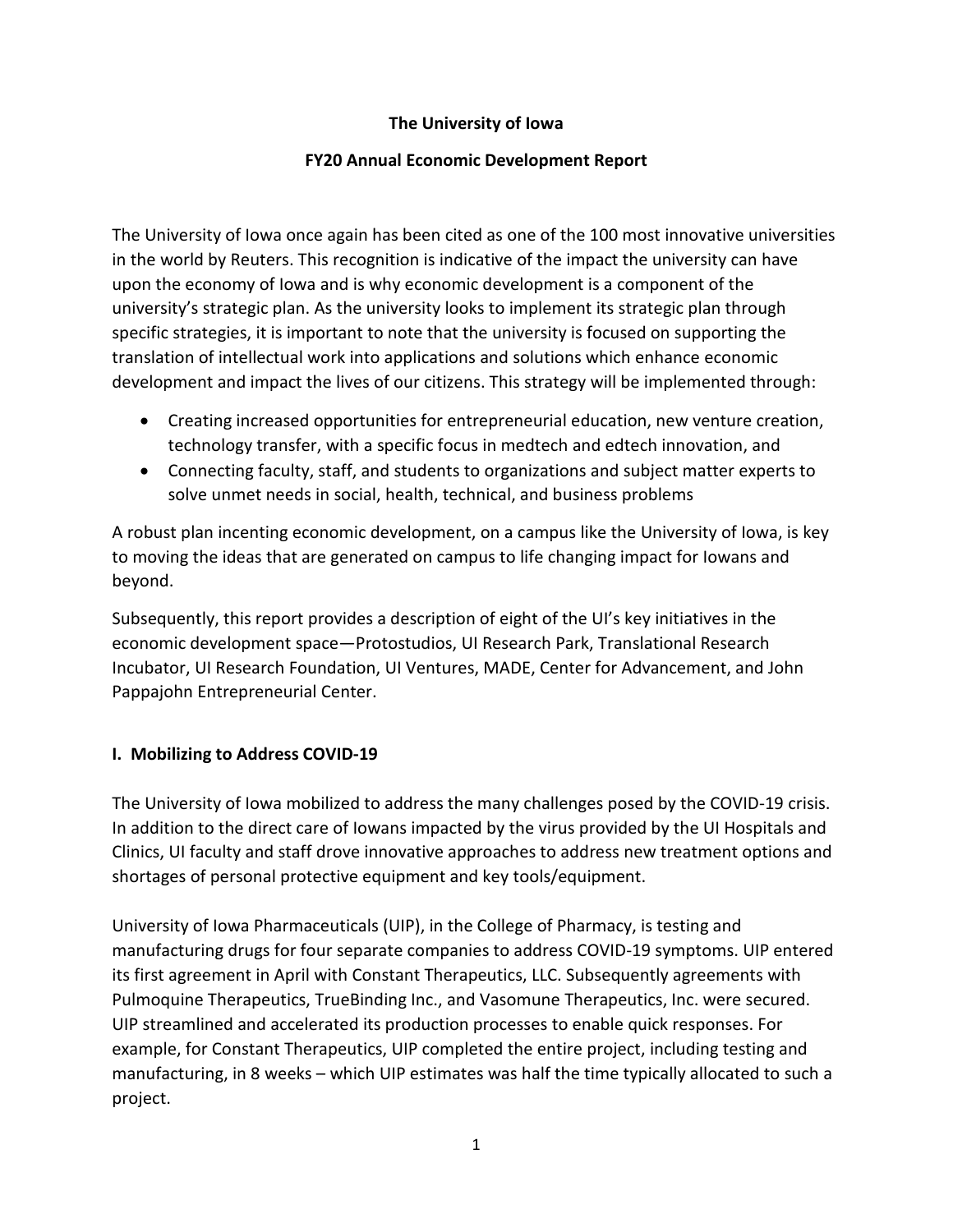## **The University of Iowa**

### **FY20 Annual Economic Development Report**

The University of Iowa once again has been cited as one of the 100 most innovative universities in the world by Reuters. This recognition is indicative of the impact the university can have upon the economy of Iowa and is why economic development is a component of the university's strategic plan. As the university looks to implement its strategic plan through specific strategies, it is important to note that the university is focused on supporting the translation of intellectual work into applications and solutions which enhance economic development and impact the lives of our citizens. This strategy will be implemented through:

- Creating increased opportunities for entrepreneurial education, new venture creation, technology transfer, with a specific focus in medtech and edtech innovation, and
- Connecting faculty, staff, and students to organizations and subject matter experts to solve unmet needs in social, health, technical, and business problems

A robust plan incenting economic development, on a campus like the University of Iowa, is key to moving the ideas that are generated on campus to life changing impact for Iowans and beyond.

Subsequently, this report provides a description of eight of the UI's key initiatives in the economic development space—Protostudios, UI Research Park, Translational Research Incubator, UI Research Foundation, UI Ventures, MADE, Center for Advancement, and John Pappajohn Entrepreneurial Center.

### **I. Mobilizing to Address COVID-19**

The University of Iowa mobilized to address the many challenges posed by the COVID-19 crisis. In addition to the direct care of Iowans impacted by the virus provided by the UI Hospitals and Clinics, UI faculty and staff drove innovative approaches to address new treatment options and shortages of personal protective equipment and key tools/equipment.

University of Iowa Pharmaceuticals (UIP), in the College of Pharmacy, is testing and manufacturing drugs for four separate companies to address COVID-19 symptoms. UIP entered its first agreement in April with Constant Therapeutics, LLC. Subsequently agreements with Pulmoquine Therapeutics, TrueBinding Inc., and Vasomune Therapeutics, Inc. were secured. UIP streamlined and accelerated its production processes to enable quick responses. For example, for Constant Therapeutics, UIP completed the entire project, including testing and manufacturing, in 8 weeks – which UIP estimates was half the time typically allocated to such a project.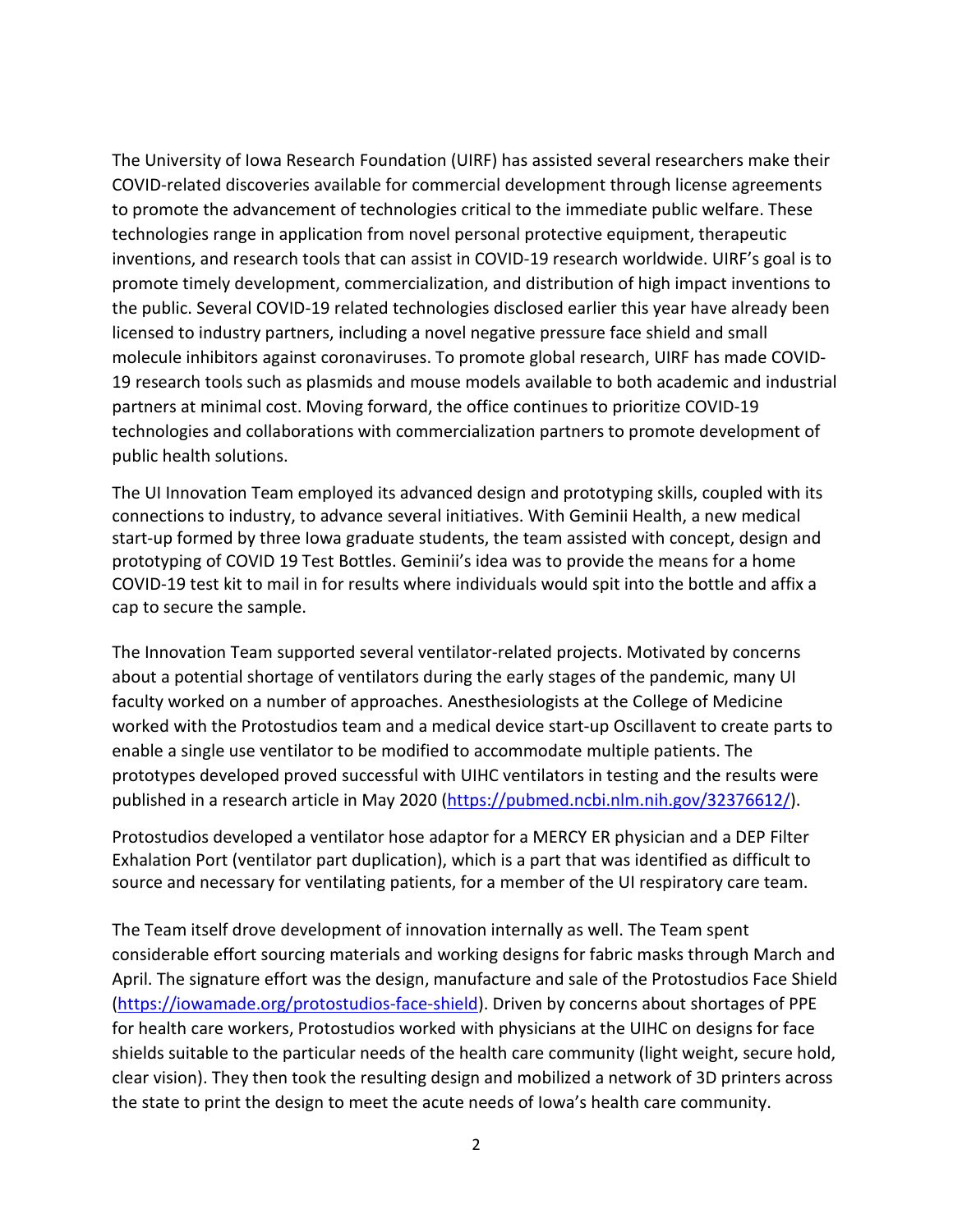The University of Iowa Research Foundation (UIRF) has assisted several researchers make their COVID-related discoveries available for commercial development through license agreements to promote the advancement of technologies critical to the immediate public welfare. These technologies range in application from novel personal protective equipment, therapeutic inventions, and research tools that can assist in COVID-19 research worldwide. UIRF's goal is to promote timely development, commercialization, and distribution of high impact inventions to the public. Several COVID-19 related technologies disclosed earlier this year have already been licensed to industry partners, including a novel negative pressure face shield and small molecule inhibitors against coronaviruses. To promote global research, UIRF has made COVID-19 research tools such as plasmids and mouse models available to both academic and industrial partners at minimal cost. Moving forward, the office continues to prioritize COVID-19 technologies and collaborations with commercialization partners to promote development of public health solutions.

The UI Innovation Team employed its advanced design and prototyping skills, coupled with its connections to industry, to advance several initiatives. With Geminii Health, a new medical start-up formed by three Iowa graduate students, the team assisted with concept, design and prototyping of COVID 19 Test Bottles. Geminii's idea was to provide the means for a home COVID-19 test kit to mail in for results where individuals would spit into the bottle and affix a cap to secure the sample.

The Innovation Team supported several ventilator-related projects. Motivated by concerns about a potential shortage of ventilators during the early stages of the pandemic, many UI faculty worked on a number of approaches. Anesthesiologists at the College of Medicine worked with the Protostudios team and a medical device start-up Oscillavent to create parts to enable a single use ventilator to be modified to accommodate multiple patients. The prototypes developed proved successful with UIHC ventilators in testing and the results were published in a research article in May 2020 [\(https://pubmed.ncbi.nlm.nih.gov/32376612/\)](https://pubmed.ncbi.nlm.nih.gov/32376612/).

Protostudios developed a ventilator hose adaptor for a MERCY ER physician and a DEP Filter Exhalation Port (ventilator part duplication), which is a part that was identified as difficult to source and necessary for ventilating patients, for a member of the UI respiratory care team.

The Team itself drove development of innovation internally as well. The Team spent considerable effort sourcing materials and working designs for fabric masks through March and April. The signature effort was the design, manufacture and sale of the Protostudios Face Shield [\(https://iowamade.org/protostudios-face-shield\)](https://iowamade.org/protostudios-face-shield). Driven by concerns about shortages of PPE for health care workers, Protostudios worked with physicians at the UIHC on designs for face shields suitable to the particular needs of the health care community (light weight, secure hold, clear vision). They then took the resulting design and mobilized a network of 3D printers across the state to print the design to meet the acute needs of Iowa's health care community.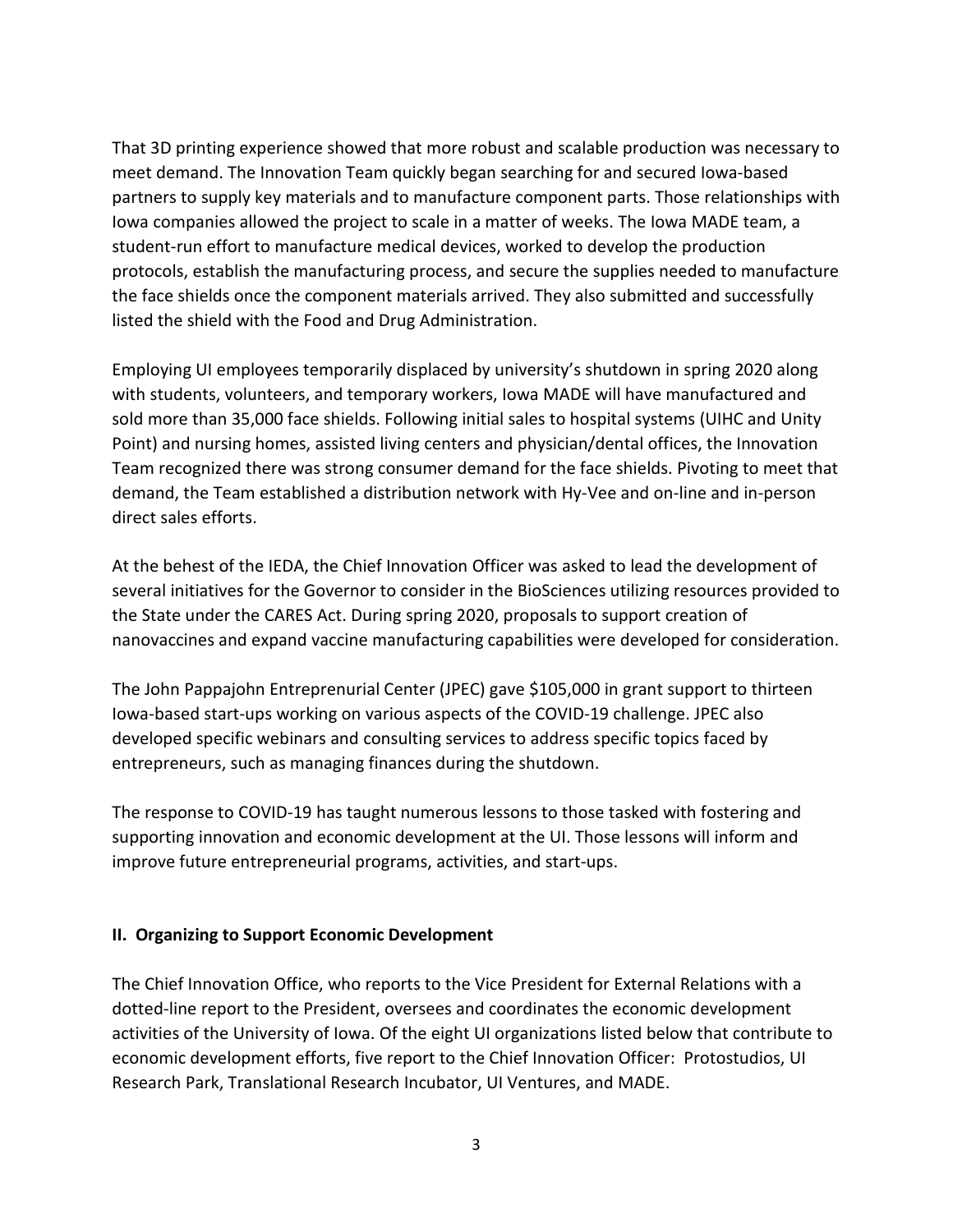That 3D printing experience showed that more robust and scalable production was necessary to meet demand. The Innovation Team quickly began searching for and secured Iowa-based partners to supply key materials and to manufacture component parts. Those relationships with Iowa companies allowed the project to scale in a matter of weeks. The Iowa MADE team, a student-run effort to manufacture medical devices, worked to develop the production protocols, establish the manufacturing process, and secure the supplies needed to manufacture the face shields once the component materials arrived. They also submitted and successfully listed the shield with the Food and Drug Administration.

Employing UI employees temporarily displaced by university's shutdown in spring 2020 along with students, volunteers, and temporary workers, Iowa MADE will have manufactured and sold more than 35,000 face shields. Following initial sales to hospital systems (UIHC and Unity Point) and nursing homes, assisted living centers and physician/dental offices, the Innovation Team recognized there was strong consumer demand for the face shields. Pivoting to meet that demand, the Team established a distribution network with Hy-Vee and on-line and in-person direct sales efforts.

At the behest of the IEDA, the Chief Innovation Officer was asked to lead the development of several initiatives for the Governor to consider in the BioSciences utilizing resources provided to the State under the CARES Act. During spring 2020, proposals to support creation of nanovaccines and expand vaccine manufacturing capabilities were developed for consideration.

The John Pappajohn Entreprenurial Center (JPEC) gave \$105,000 in grant support to thirteen Iowa-based start-ups working on various aspects of the COVID-19 challenge. JPEC also developed specific webinars and consulting services to address specific topics faced by entrepreneurs, such as managing finances during the shutdown.

The response to COVID-19 has taught numerous lessons to those tasked with fostering and supporting innovation and economic development at the UI. Those lessons will inform and improve future entrepreneurial programs, activities, and start-ups.

### **II. Organizing to Support Economic Development**

The Chief Innovation Office, who reports to the Vice President for External Relations with a dotted-line report to the President, oversees and coordinates the economic development activities of the University of Iowa. Of the eight UI organizations listed below that contribute to economic development efforts, five report to the Chief Innovation Officer: Protostudios, UI Research Park, Translational Research Incubator, UI Ventures, and MADE.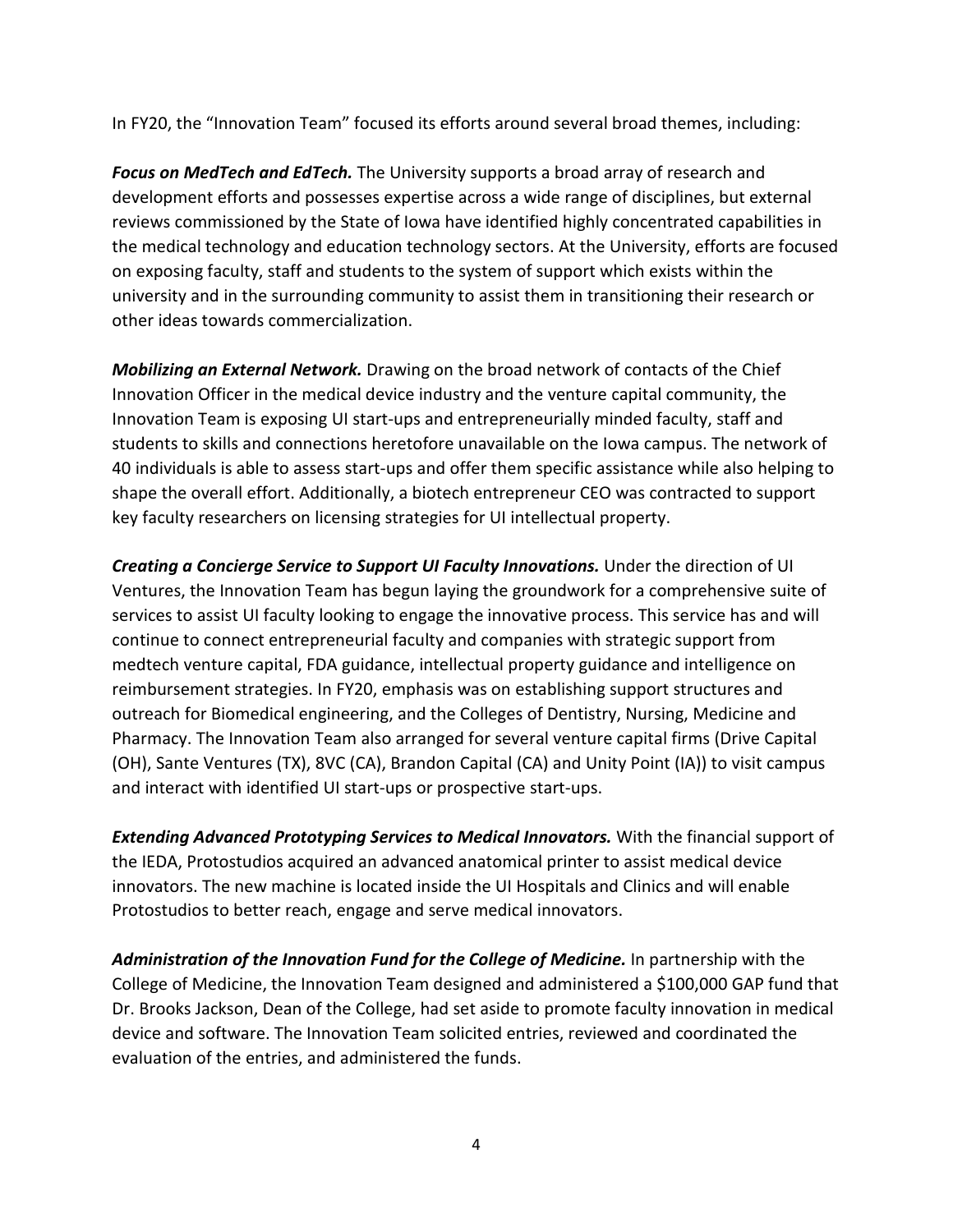In FY20, the "Innovation Team" focused its efforts around several broad themes, including:

*Focus on MedTech and EdTech.* The University supports a broad array of research and development efforts and possesses expertise across a wide range of disciplines, but external reviews commissioned by the State of Iowa have identified highly concentrated capabilities in the medical technology and education technology sectors. At the University, efforts are focused on exposing faculty, staff and students to the system of support which exists within the university and in the surrounding community to assist them in transitioning their research or other ideas towards commercialization.

*Mobilizing an External Network.* Drawing on the broad network of contacts of the Chief Innovation Officer in the medical device industry and the venture capital community, the Innovation Team is exposing UI start-ups and entrepreneurially minded faculty, staff and students to skills and connections heretofore unavailable on the Iowa campus. The network of 40 individuals is able to assess start-ups and offer them specific assistance while also helping to shape the overall effort. Additionally, a biotech entrepreneur CEO was contracted to support key faculty researchers on licensing strategies for UI intellectual property.

*Creating a Concierge Service to Support UI Faculty Innovations.* Under the direction of UI Ventures, the Innovation Team has begun laying the groundwork for a comprehensive suite of services to assist UI faculty looking to engage the innovative process. This service has and will continue to connect entrepreneurial faculty and companies with strategic support from medtech venture capital, FDA guidance, intellectual property guidance and intelligence on reimbursement strategies. In FY20, emphasis was on establishing support structures and outreach for Biomedical engineering, and the Colleges of Dentistry, Nursing, Medicine and Pharmacy. The Innovation Team also arranged for several venture capital firms (Drive Capital (OH), Sante Ventures (TX), 8VC (CA), Brandon Capital (CA) and Unity Point (IA)) to visit campus and interact with identified UI start-ups or prospective start-ups.

*Extending Advanced Prototyping Services to Medical Innovators.* With the financial support of the IEDA, Protostudios acquired an advanced anatomical printer to assist medical device innovators. The new machine is located inside the UI Hospitals and Clinics and will enable Protostudios to better reach, engage and serve medical innovators.

*Administration of the Innovation Fund for the College of Medicine.* In partnership with the College of Medicine, the Innovation Team designed and administered a \$100,000 GAP fund that Dr. Brooks Jackson, Dean of the College, had set aside to promote faculty innovation in medical device and software. The Innovation Team solicited entries, reviewed and coordinated the evaluation of the entries, and administered the funds.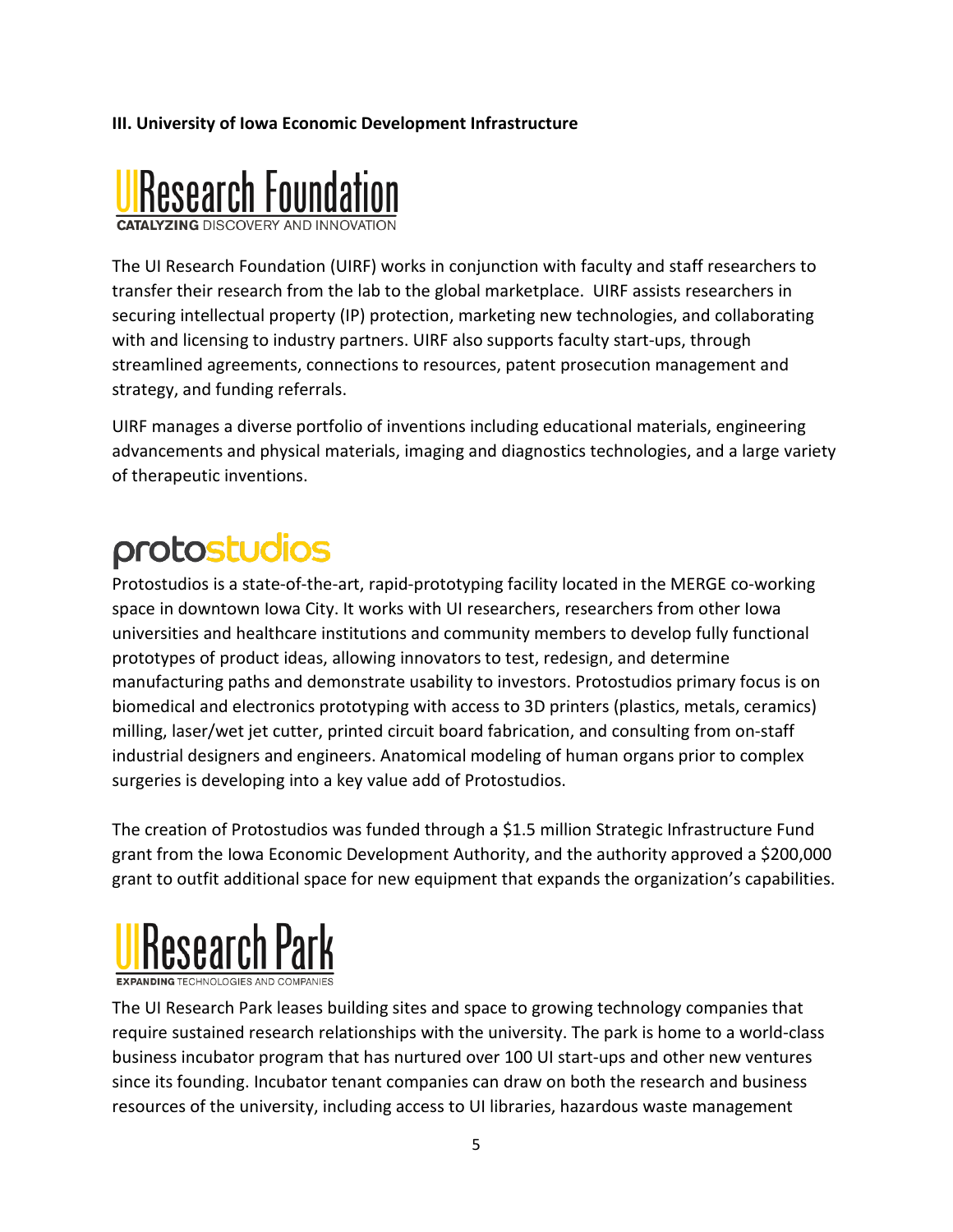# **III. University of Iowa Economic Development Infrastructure**



The UI Research Foundation (UIRF) works in conjunction with faculty and staff researchers to transfer their research from the lab to the global marketplace. UIRF assists researchers in securing intellectual property (IP) protection, marketing new technologies, and collaborating with and licensing to industry partners. UIRF also supports faculty start-ups, through streamlined agreements, connections to resources, patent prosecution management and strategy, and funding referrals.

UIRF manages a diverse portfolio of inventions including educational materials, engineering advancements and physical materials, imaging and diagnostics technologies, and a large variety of therapeutic inventions.

# protostudios

Protostudios is a state-of-the-art, rapid-prototyping facility located in the MERGE co-working space in downtown Iowa City. It works with UI researchers, researchers from other Iowa universities and healthcare institutions and community members to develop fully functional prototypes of product ideas, allowing innovators to test, redesign, and determine manufacturing paths and demonstrate usability to investors. Protostudios primary focus is on biomedical and electronics prototyping with access to 3D printers (plastics, metals, ceramics) milling, laser/wet jet cutter, printed circuit board fabrication, and consulting from on-staff industrial designers and engineers. Anatomical modeling of human organs prior to complex surgeries is developing into a key value add of Protostudios.

The creation of Protostudios was funded through a \$1.5 million Strategic Infrastructure Fund grant from the Iowa Economic Development Authority, and the authority approved a \$200,000 grant to outfit additional space for new equipment that expands the organization's capabilities.



The UI Research Park leases building sites and space to growing technology companies that require sustained research relationships with the university. The park is home to a world-class business incubator program that has nurtured over 100 UI start-ups and other new ventures since its founding. Incubator tenant companies can draw on both the research and business resources of the university, including access to UI libraries, hazardous waste management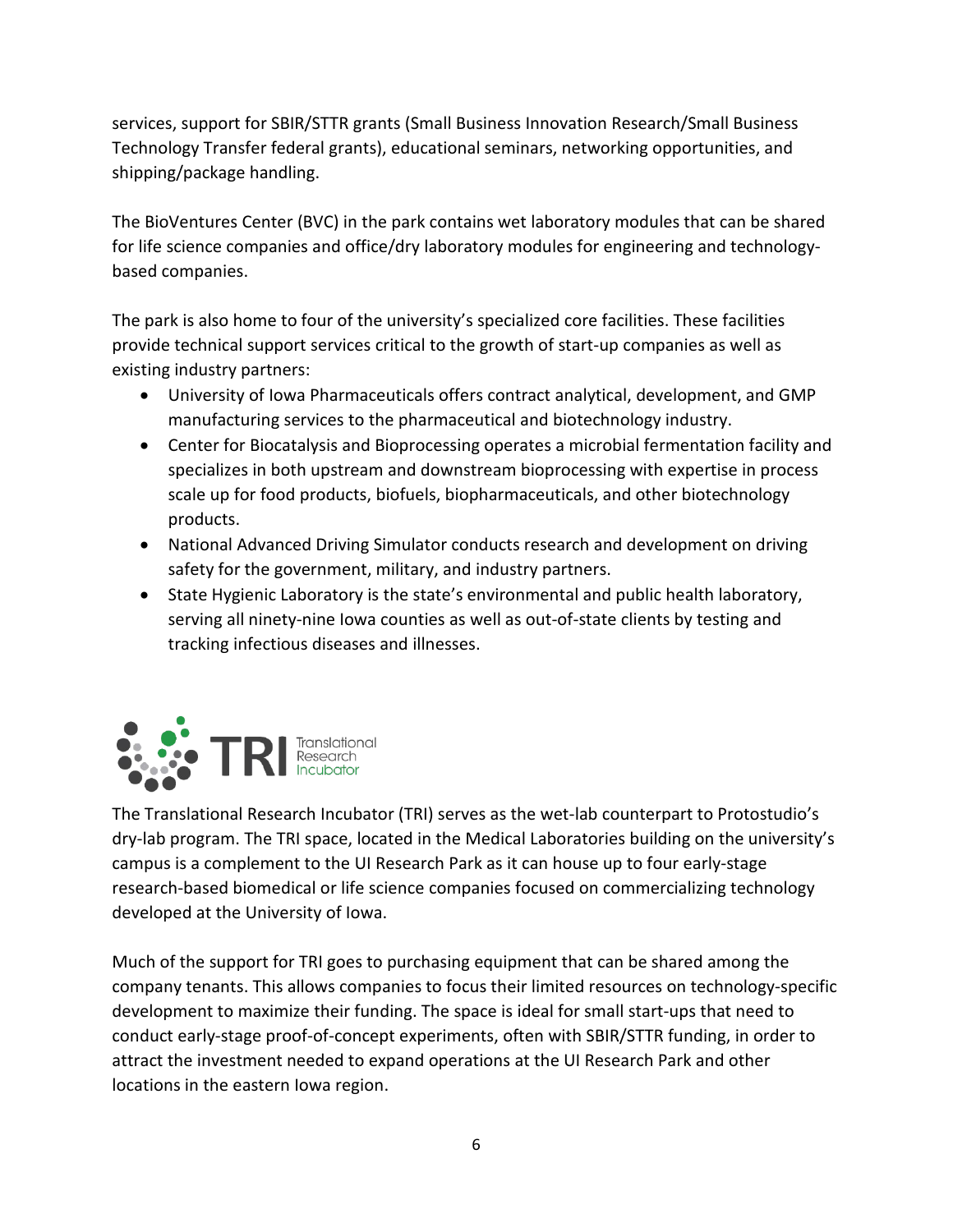services, support for SBIR/STTR grants (Small Business Innovation Research/Small Business Technology Transfer federal grants), educational seminars, networking opportunities, and shipping/package handling.

The BioVentures Center (BVC) in the park contains wet laboratory modules that can be shared for life science companies and office/dry laboratory modules for engineering and technologybased companies.

The park is also home to four of the university's specialized core facilities. These facilities provide technical support services critical to the growth of start-up companies as well as existing industry partners:

- University of Iowa Pharmaceuticals offers contract analytical, development, and GMP manufacturing services to the pharmaceutical and biotechnology industry.
- Center for Biocatalysis and Bioprocessing operates a microbial fermentation facility and specializes in both upstream and downstream bioprocessing with expertise in process scale up for food products, biofuels, biopharmaceuticals, and other biotechnology products.
- National Advanced Driving Simulator conducts research and development on driving safety for the government, military, and industry partners.
- State Hygienic Laboratory is the state's environmental and public health laboratory, serving all ninety-nine Iowa counties as well as out-of-state clients by testing and tracking infectious diseases and illnesses.



The Translational Research Incubator (TRI) serves as the wet-lab counterpart to Protostudio's dry-lab program. The TRI space, located in the Medical Laboratories building on the university's campus is a complement to the UI Research Park as it can house up to four early-stage research-based biomedical or life science companies focused on commercializing technology developed at the University of Iowa.

Much of the support for TRI goes to purchasing equipment that can be shared among the company tenants. This allows companies to focus their limited resources on technology-specific development to maximize their funding. The space is ideal for small start-ups that need to conduct early-stage proof-of-concept experiments, often with SBIR/STTR funding, in order to attract the investment needed to expand operations at the UI Research Park and other locations in the eastern Iowa region.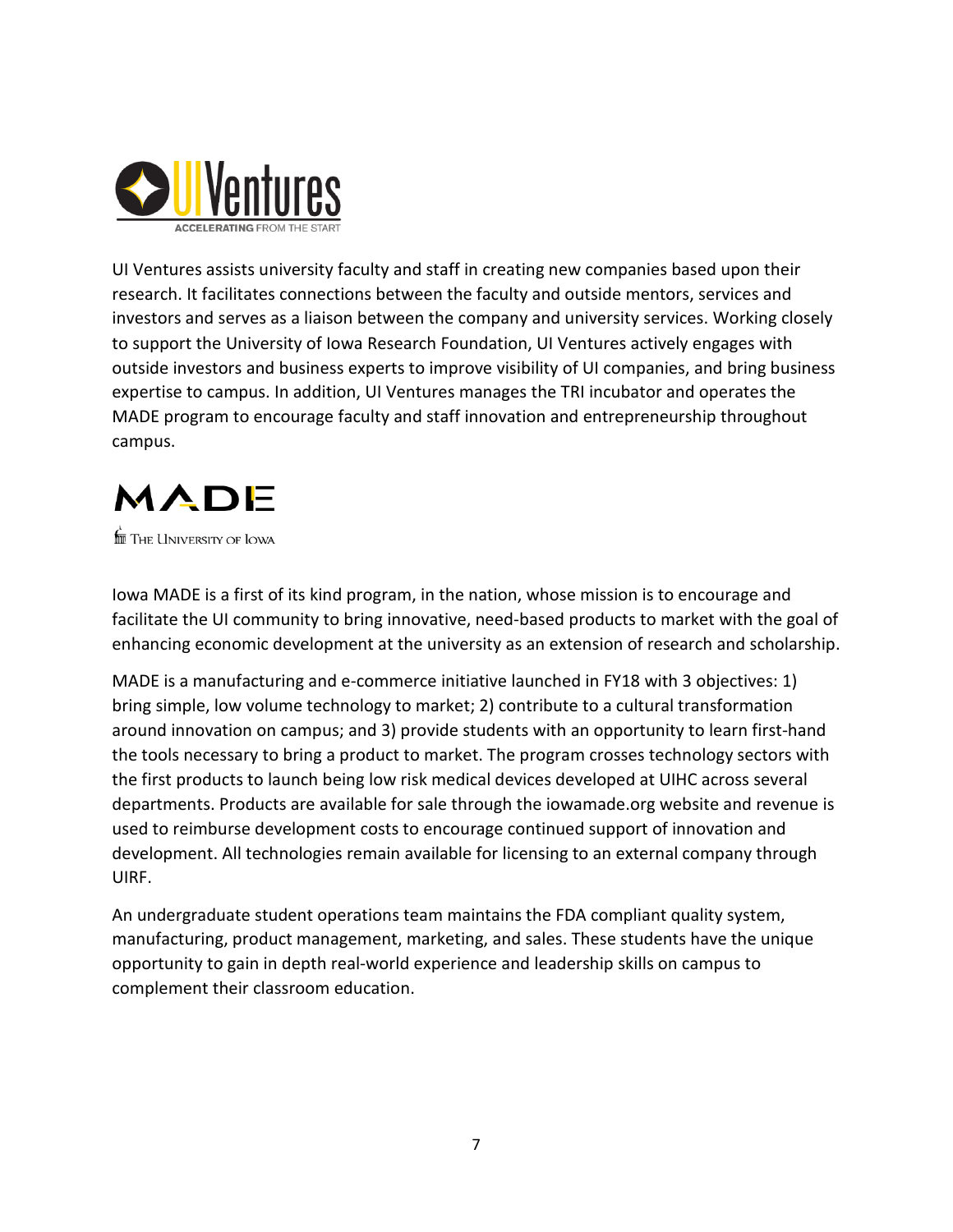

UI Ventures assists university faculty and staff in creating new companies based upon their research. It facilitates connections between the faculty and outside mentors, services and investors and serves as a liaison between the company and university services. Working closely to support the University of Iowa Research Foundation, UI Ventures actively engages with outside investors and business experts to improve visibility of UI companies, and bring business expertise to campus. In addition, UI Ventures manages the TRI incubator and operates the MADE program to encourage faculty and staff innovation and entrepreneurship throughout campus.

# MADE

 $\stackrel{\scriptscriptstyle \textrm{fm}}{\scriptscriptstyle \textrm{m}}$  The University of Iowa

Iowa MADE is a first of its kind program, in the nation, whose mission is to encourage and facilitate the UI community to bring innovative, need-based products to market with the goal of enhancing economic development at the university as an extension of research and scholarship.

MADE is a manufacturing and e-commerce initiative launched in FY18 with 3 objectives: 1) bring simple, low volume technology to market; 2) contribute to a cultural transformation around innovation on campus; and 3) provide students with an opportunity to learn first-hand the tools necessary to bring a product to market. The program crosses technology sectors with the first products to launch being low risk medical devices developed at UIHC across several departments. Products are available for sale through the iowamade.org website and revenue is used to reimburse development costs to encourage continued support of innovation and development. All technologies remain available for licensing to an external company through UIRF.

An undergraduate student operations team maintains the FDA compliant quality system, manufacturing, product management, marketing, and sales. These students have the unique opportunity to gain in depth real-world experience and leadership skills on campus to complement their classroom education.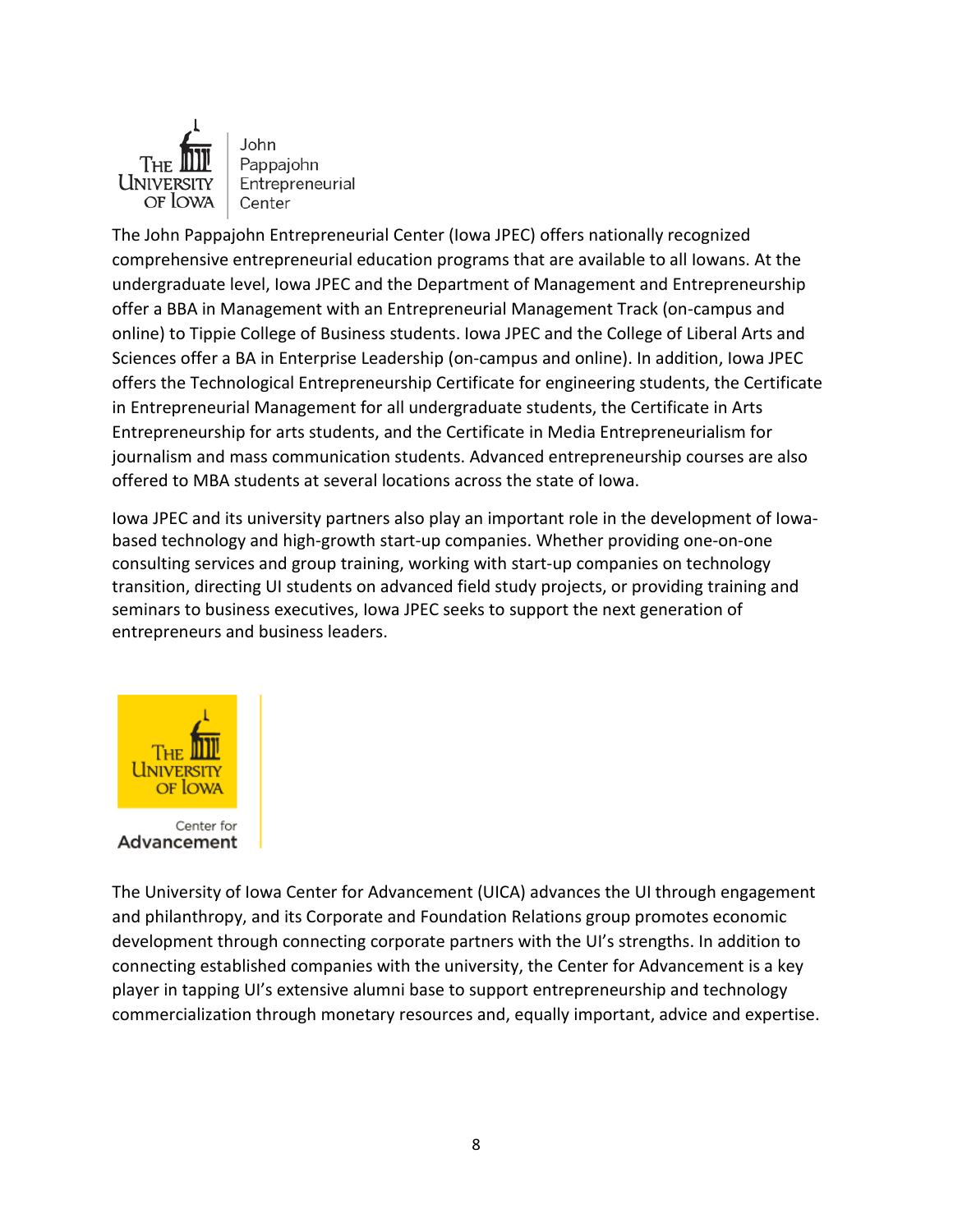

John Pappajohn Entrepreneurial Center

The John Pappajohn Entrepreneurial Center (Iowa JPEC) offers nationally recognized comprehensive entrepreneurial education programs that are available to all Iowans. At the undergraduate level, Iowa JPEC and the Department of Management and Entrepreneurship offer a BBA in Management with an Entrepreneurial Management Track (on-campus and online) to Tippie College of Business students. Iowa JPEC and the College of Liberal Arts and Sciences offer a BA in Enterprise Leadership (on-campus and online). In addition, Iowa JPEC offers the Technological Entrepreneurship Certificate for engineering students, the Certificate in Entrepreneurial Management for all undergraduate students, the Certificate in Arts Entrepreneurship for arts students, and the Certificate in Media Entrepreneurialism for journalism and mass communication students. Advanced entrepreneurship courses are also offered to MBA students at several locations across the state of Iowa.

Iowa JPEC and its university partners also play an important role in the development of Iowabased technology and high-growth start-up companies. Whether providing one-on-one consulting services and group training, working with start-up companies on technology transition, directing UI students on advanced field study projects, or providing training and seminars to business executives, Iowa JPEC seeks to support the next generation of entrepreneurs and business leaders.



The University of Iowa Center for Advancement (UICA) advances the UI through engagement and philanthropy, and its Corporate and Foundation Relations group promotes economic development through connecting corporate partners with the UI's strengths. In addition to connecting established companies with the university, the Center for Advancement is a key player in tapping UI's extensive alumni base to support entrepreneurship and technology commercialization through monetary resources and, equally important, advice and expertise.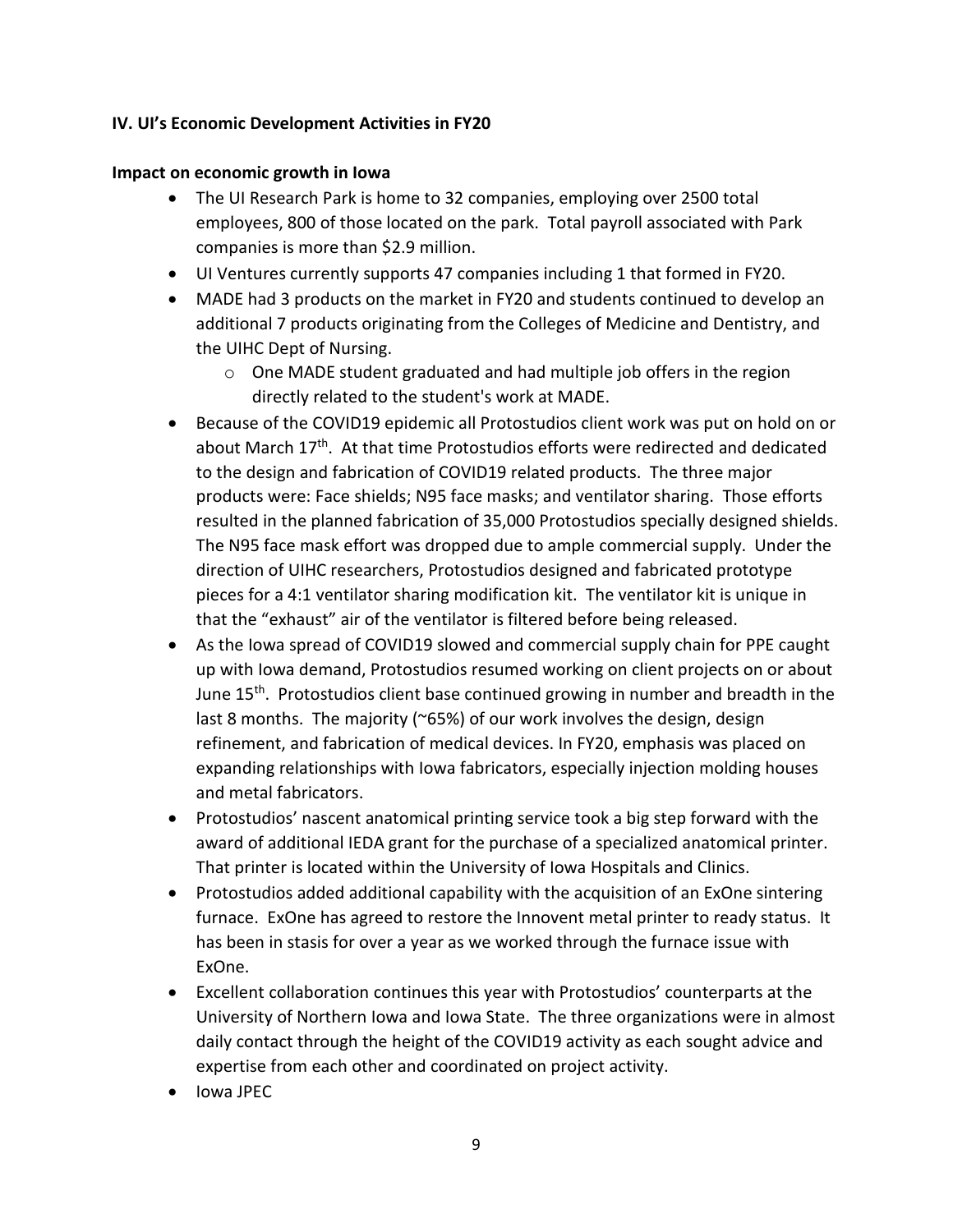#### **IV. UI's Economic Development Activities in FY20**

#### **Impact on economic growth in Iowa**

- The UI Research Park is home to 32 companies, employing over 2500 total employees, 800 of those located on the park. Total payroll associated with Park companies is more than \$2.9 million.
- UI Ventures currently supports 47 companies including 1 that formed in FY20.
- MADE had 3 products on the market in FY20 and students continued to develop an additional 7 products originating from the Colleges of Medicine and Dentistry, and the UIHC Dept of Nursing.
	- o One MADE student graduated and had multiple job offers in the region directly related to the student's work at MADE.
- Because of the COVID19 epidemic all Protostudios client work was put on hold on or about March 17<sup>th</sup>. At that time Protostudios efforts were redirected and dedicated to the design and fabrication of COVID19 related products. The three major products were: Face shields; N95 face masks; and ventilator sharing. Those efforts resulted in the planned fabrication of 35,000 Protostudios specially designed shields. The N95 face mask effort was dropped due to ample commercial supply. Under the direction of UIHC researchers, Protostudios designed and fabricated prototype pieces for a 4:1 ventilator sharing modification kit. The ventilator kit is unique in that the "exhaust" air of the ventilator is filtered before being released.
- As the Iowa spread of COVID19 slowed and commercial supply chain for PPE caught up with Iowa demand, Protostudios resumed working on client projects on or about June 15th. Protostudios client base continued growing in number and breadth in the last 8 months. The majority (~65%) of our work involves the design, design refinement, and fabrication of medical devices. In FY20, emphasis was placed on expanding relationships with Iowa fabricators, especially injection molding houses and metal fabricators.
- Protostudios' nascent anatomical printing service took a big step forward with the award of additional IEDA grant for the purchase of a specialized anatomical printer. That printer is located within the University of Iowa Hospitals and Clinics.
- Protostudios added additional capability with the acquisition of an ExOne sintering furnace. ExOne has agreed to restore the Innovent metal printer to ready status. It has been in stasis for over a year as we worked through the furnace issue with ExOne.
- Excellent collaboration continues this year with Protostudios' counterparts at the University of Northern Iowa and Iowa State. The three organizations were in almost daily contact through the height of the COVID19 activity as each sought advice and expertise from each other and coordinated on project activity.
- Iowa JPEC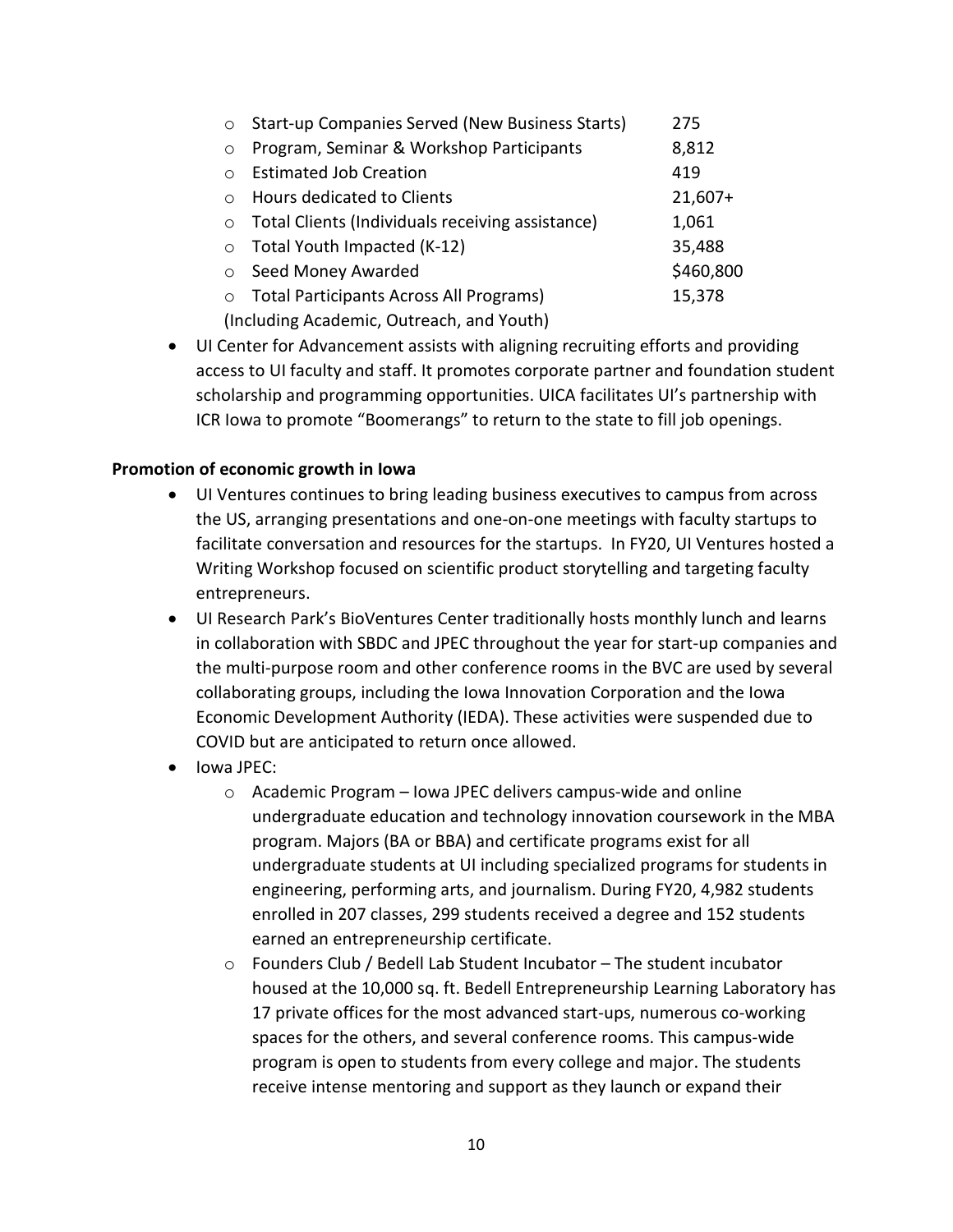| $\circ$                                   | Start-up Companies Served (New Business Starts)  | 275       |  |  |  |  |
|-------------------------------------------|--------------------------------------------------|-----------|--|--|--|--|
| $\circ$                                   | Program, Seminar & Workshop Participants         | 8,812     |  |  |  |  |
| $\bigcap$                                 | <b>Estimated Job Creation</b>                    | 419       |  |  |  |  |
| $\bigcirc$                                | Hours dedicated to Clients                       | $21,607+$ |  |  |  |  |
| $\circ$                                   | Total Clients (Individuals receiving assistance) | 1,061     |  |  |  |  |
| $\circ$                                   | Total Youth Impacted (K-12)                      | 35,488    |  |  |  |  |
| $\circ$                                   | Seed Money Awarded                               | \$460,800 |  |  |  |  |
| $\circ$                                   | <b>Total Participants Across All Programs)</b>   | 15,378    |  |  |  |  |
| (Including Academic, Outreach, and Youth) |                                                  |           |  |  |  |  |

• UI Center for Advancement assists with aligning recruiting efforts and providing access to UI faculty and staff. It promotes corporate partner and foundation student scholarship and programming opportunities. UICA facilitates UI's partnership with ICR Iowa to promote "Boomerangs" to return to the state to fill job openings.

#### **Promotion of economic growth in Iowa**

- UI Ventures continues to bring leading business executives to campus from across the US, arranging presentations and one-on-one meetings with faculty startups to facilitate conversation and resources for the startups. In FY20, UI Ventures hosted a Writing Workshop focused on scientific product storytelling and targeting faculty entrepreneurs.
- UI Research Park's BioVentures Center traditionally hosts monthly lunch and learns in collaboration with SBDC and JPEC throughout the year for start-up companies and the multi-purpose room and other conference rooms in the BVC are used by several collaborating groups, including the Iowa Innovation Corporation and the Iowa Economic Development Authority (IEDA). These activities were suspended due to COVID but are anticipated to return once allowed.
- Iowa JPEC:
	- o Academic Program Iowa JPEC delivers campus-wide and online undergraduate education and technology innovation coursework in the MBA program. Majors (BA or BBA) and certificate programs exist for all undergraduate students at UI including specialized programs for students in engineering, performing arts, and journalism. During FY20, 4,982 students enrolled in 207 classes, 299 students received a degree and 152 students earned an entrepreneurship certificate.
	- o Founders Club / Bedell Lab Student Incubator The student incubator housed at the 10,000 sq. ft. Bedell Entrepreneurship Learning Laboratory has 17 private offices for the most advanced start-ups, numerous co-working spaces for the others, and several conference rooms. This campus-wide program is open to students from every college and major. The students receive intense mentoring and support as they launch or expand their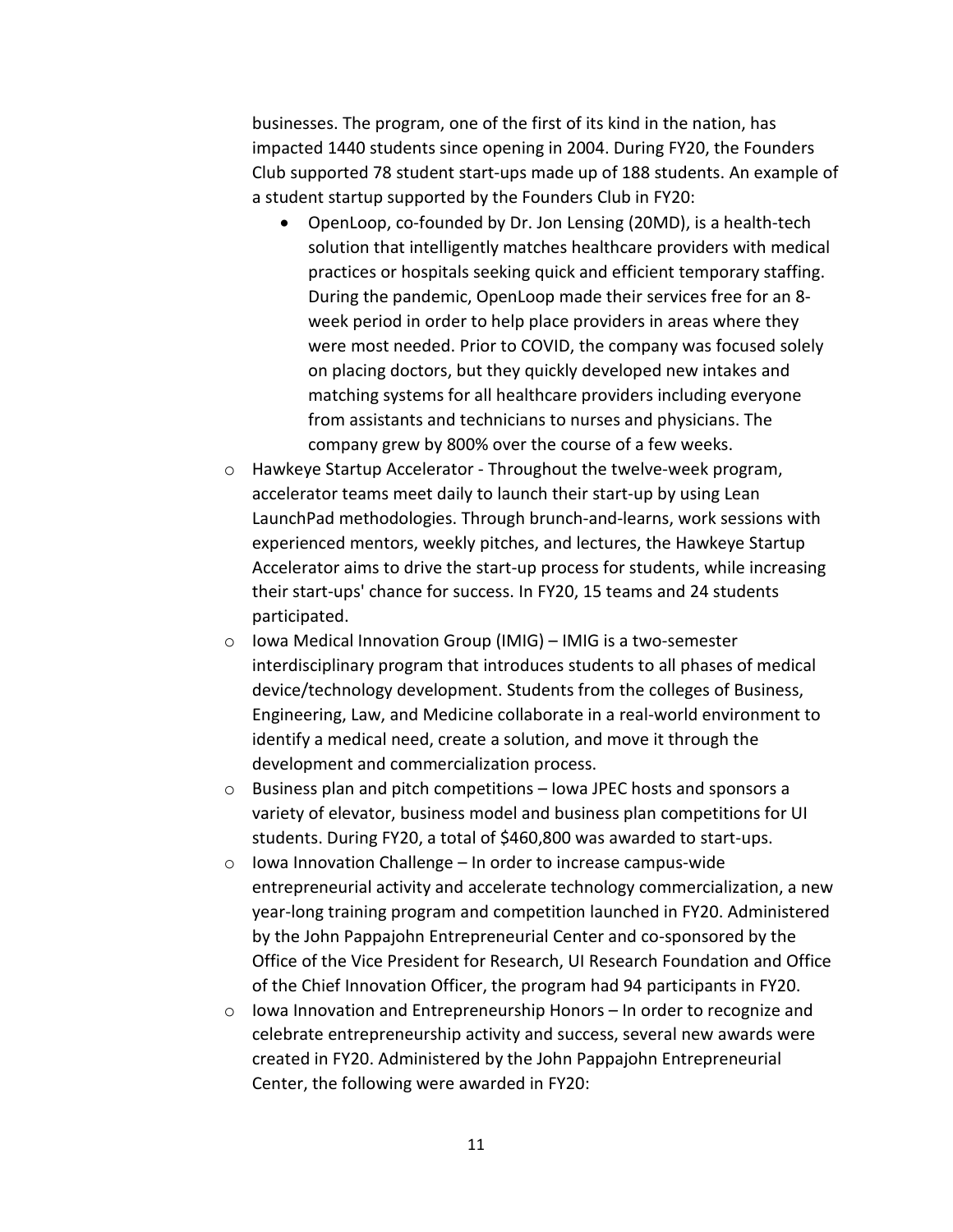businesses. The program, one of the first of its kind in the nation, has impacted 1440 students since opening in 2004. During FY20, the Founders Club supported 78 student start-ups made up of 188 students. An example of a student startup supported by the Founders Club in FY20:

- OpenLoop, co-founded by Dr. Jon Lensing (20MD), is a health-tech solution that intelligently matches healthcare providers with medical practices or hospitals seeking quick and efficient temporary staffing. During the pandemic, OpenLoop made their services free for an 8 week period in order to help place providers in areas where they were most needed. Prior to COVID, the company was focused solely on placing doctors, but they quickly developed new intakes and matching systems for all healthcare providers including everyone from assistants and technicians to nurses and physicians. The company grew by 800% over the course of a few weeks.
- o Hawkeye Startup Accelerator Throughout the twelve-week program, accelerator teams meet daily to launch their start-up by using Lean LaunchPad methodologies. Through brunch-and-learns, work sessions with experienced mentors, weekly pitches, and lectures, the Hawkeye Startup Accelerator aims to drive the start-up process for students, while increasing their start-ups' chance for success. In FY20, 15 teams and 24 students participated.
- o Iowa Medical Innovation Group (IMIG) IMIG is a two-semester interdisciplinary program that introduces students to all phases of medical device/technology development. Students from the colleges of Business, Engineering, Law, and Medicine collaborate in a real-world environment to identify a medical need, create a solution, and move it through the development and commercialization process.
- o Business plan and pitch competitions Iowa JPEC hosts and sponsors a variety of elevator, business model and business plan competitions for UI students. During FY20, a total of \$460,800 was awarded to start-ups.
- o Iowa Innovation Challenge In order to increase campus-wide entrepreneurial activity and accelerate technology commercialization, a new year-long training program and competition launched in FY20. Administered by the John Pappajohn Entrepreneurial Center and co-sponsored by the Office of the Vice President for Research, UI Research Foundation and Office of the Chief Innovation Officer, the program had 94 participants in FY20.
- $\circ$  Iowa Innovation and Entrepreneurship Honors In order to recognize and celebrate entrepreneurship activity and success, several new awards were created in FY20. Administered by the John Pappajohn Entrepreneurial Center, the following were awarded in FY20: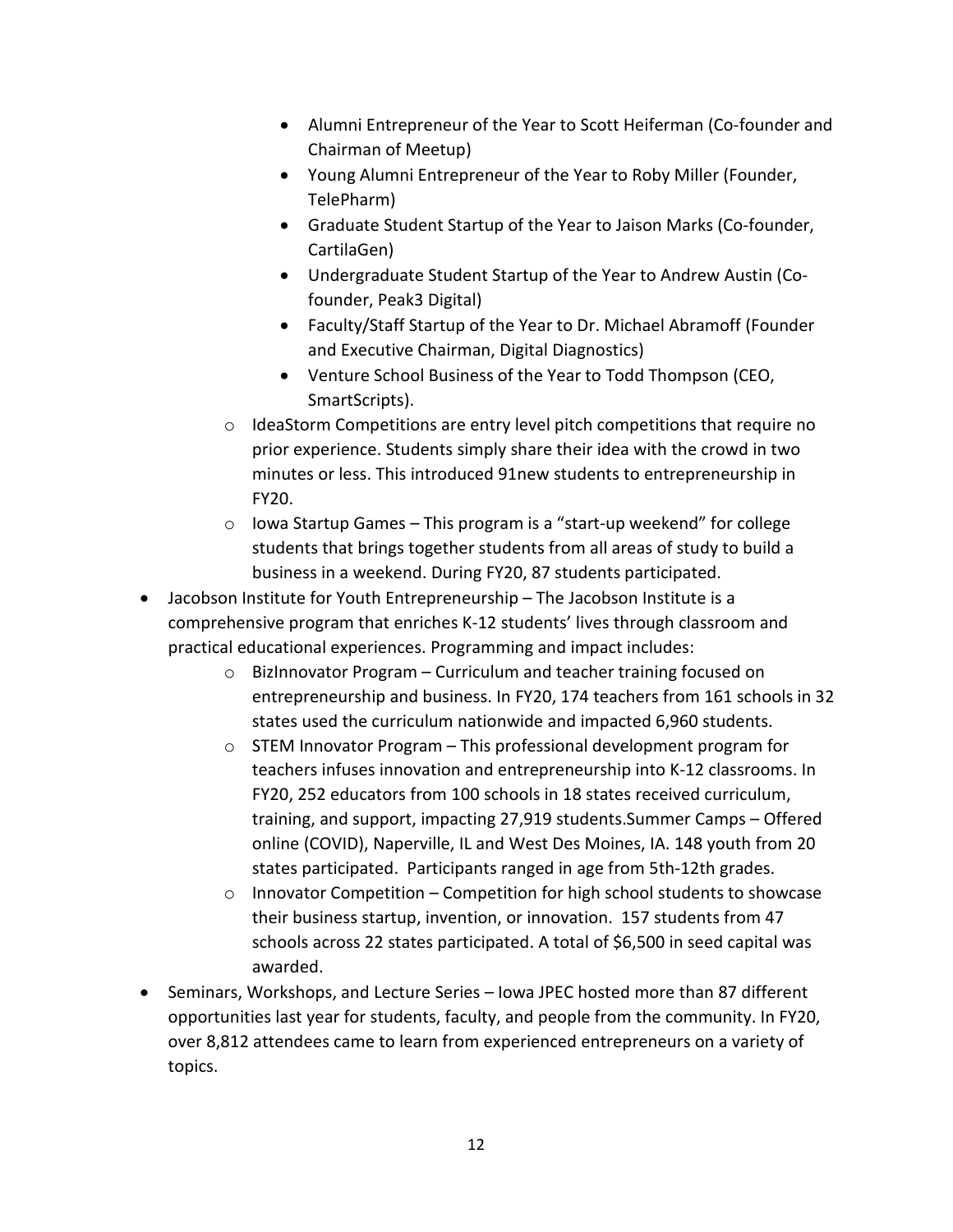- Alumni Entrepreneur of the Year to Scott Heiferman (Co-founder and Chairman of Meetup)
- Young Alumni Entrepreneur of the Year to Roby Miller (Founder, TelePharm)
- Graduate Student Startup of the Year to Jaison Marks (Co-founder, CartilaGen)
- Undergraduate Student Startup of the Year to Andrew Austin (Cofounder, Peak3 Digital)
- Faculty/Staff Startup of the Year to Dr. Michael Abramoff (Founder and Executive Chairman, Digital Diagnostics)
- Venture School Business of the Year to Todd Thompson (CEO, SmartScripts).
- $\circ$  IdeaStorm Competitions are entry level pitch competitions that require no prior experience. Students simply share their idea with the crowd in two minutes or less. This introduced 91new students to entrepreneurship in FY20.
- o Iowa Startup Games This program is a "start-up weekend" for college students that brings together students from all areas of study to build a business in a weekend. During FY20, 87 students participated.
- Jacobson Institute for Youth Entrepreneurship The Jacobson Institute is a comprehensive program that enriches K-12 students' lives through classroom and practical educational experiences. Programming and impact includes:
	- o BizInnovator Program Curriculum and teacher training focused on entrepreneurship and business. In FY20, 174 teachers from 161 schools in 32 states used the curriculum nationwide and impacted 6,960 students.
	- $\circ$  STEM Innovator Program This professional development program for teachers infuses innovation and entrepreneurship into K-12 classrooms. In FY20, 252 educators from 100 schools in 18 states received curriculum, training, and support, impacting 27,919 students.Summer Camps – Offered online (COVID), Naperville, IL and West Des Moines, IA. 148 youth from 20 states participated. Participants ranged in age from 5th-12th grades.
	- $\circ$  Innovator Competition Competition for high school students to showcase their business startup, invention, or innovation. 157 students from 47 schools across 22 states participated. A total of \$6,500 in seed capital was awarded.
- Seminars, Workshops, and Lecture Series Iowa JPEC hosted more than 87 different opportunities last year for students, faculty, and people from the community. In FY20, over 8,812 attendees came to learn from experienced entrepreneurs on a variety of topics.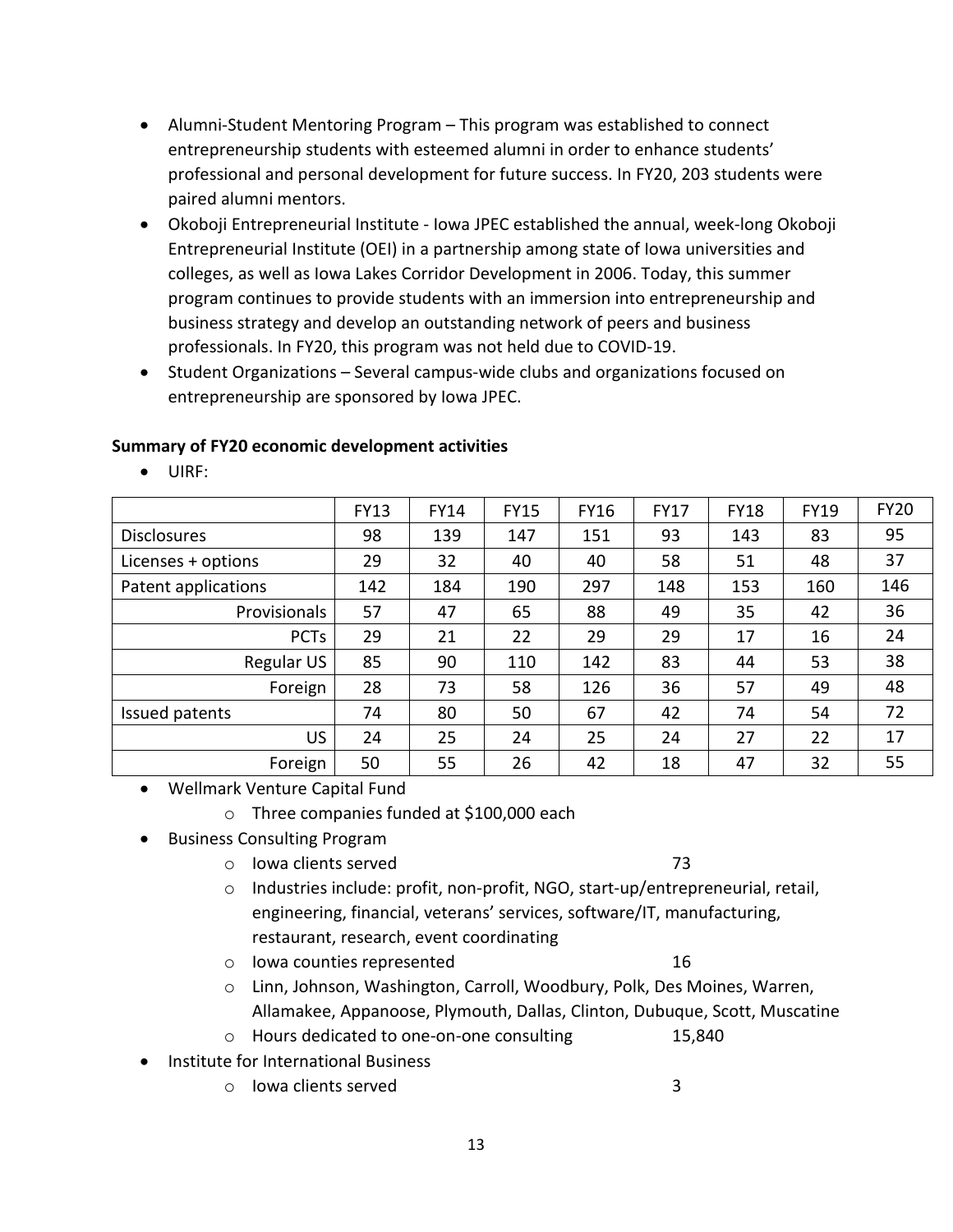- Alumni-Student Mentoring Program This program was established to connect entrepreneurship students with esteemed alumni in order to enhance students' professional and personal development for future success. In FY20, 203 students were paired alumni mentors.
- Okoboji Entrepreneurial Institute Iowa JPEC established the annual, week-long Okoboji Entrepreneurial Institute (OEI) in a partnership among state of Iowa universities and colleges, as well as Iowa Lakes Corridor Development in 2006. Today, this summer program continues to provide students with an immersion into entrepreneurship and business strategy and develop an outstanding network of peers and business professionals. In FY20, this program was not held due to COVID-19.
- Student Organizations Several campus-wide clubs and organizations focused on entrepreneurship are sponsored by Iowa JPEC.

#### **Summary of FY20 economic development activities**

• UIRF:

|                     | <b>FY13</b> | <b>FY14</b> | <b>FY15</b> | <b>FY16</b> | <b>FY17</b> | <b>FY18</b> | <b>FY19</b> | <b>FY20</b> |
|---------------------|-------------|-------------|-------------|-------------|-------------|-------------|-------------|-------------|
| <b>Disclosures</b>  | 98          | 139         | 147         | 151         | 93          | 143         | 83          | 95          |
| Licenses + options  | 29          | 32          | 40          | 40          | 58          | 51          | 48          | 37          |
| Patent applications | 142         | 184         | 190         | 297         | 148         | 153         | 160         | 146         |
| Provisionals        | 57          | 47          | 65          | 88          | 49          | 35          | 42          | 36          |
| <b>PCTs</b>         | 29          | 21          | 22          | 29          | 29          | 17          | 16          | 24          |
| Regular US          | 85          | 90          | 110         | 142         | 83          | 44          | 53          | 38          |
| Foreign             | 28          | 73          | 58          | 126         | 36          | 57          | 49          | 48          |
| Issued patents      | 74          | 80          | 50          | 67          | 42          | 74          | 54          | 72          |
| US.                 | 24          | 25          | 24          | 25          | 24          | 27          | 22          | 17          |
| Foreign             | 50          | 55          | 26          | 42          | 18          | 47          | 32          | 55          |

- Wellmark Venture Capital Fund
	- o Three companies funded at \$100,000 each
- Business Consulting Program
	- o Iowa clients served 73
	- $\circ$  Industries include: profit, non-profit, NGO, start-up/entrepreneurial, retail, engineering, financial, veterans' services, software/IT, manufacturing, restaurant, research, event coordinating
	- o Iowa counties represented 16
	- o Linn, Johnson, Washington, Carroll, Woodbury, Polk, Des Moines, Warren, Allamakee, Appanoose, Plymouth, Dallas, Clinton, Dubuque, Scott, Muscatine
	- o Hours dedicated to one-on-one consulting 15,840
- Institute for International Business
	- o lowa clients served 3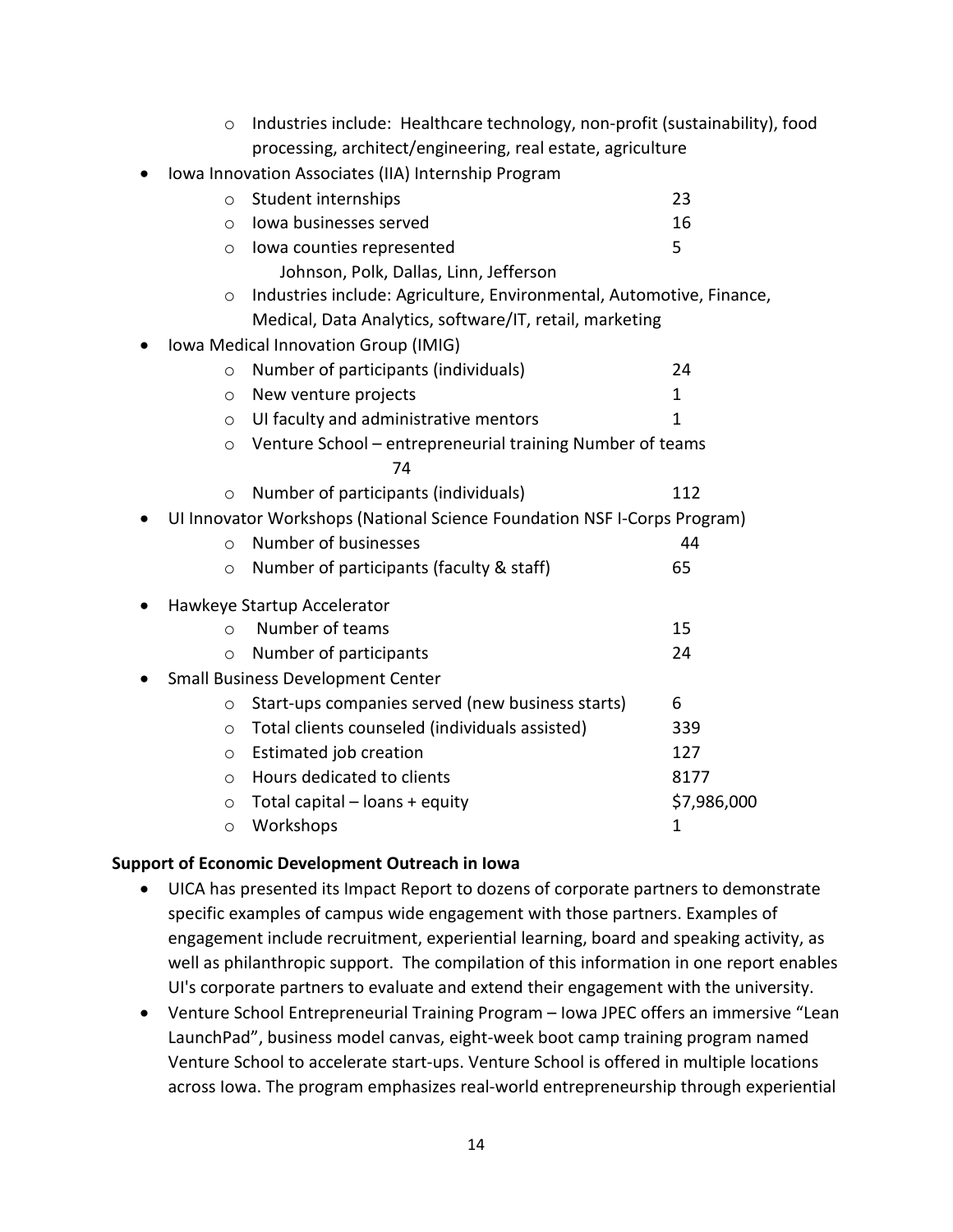| $\circ$                                             | Industries include: Healthcare technology, non-profit (sustainability), food |              |  |  |  |  |  |  |  |
|-----------------------------------------------------|------------------------------------------------------------------------------|--------------|--|--|--|--|--|--|--|
|                                                     | processing, architect/engineering, real estate, agriculture                  |              |  |  |  |  |  |  |  |
| Iowa Innovation Associates (IIA) Internship Program |                                                                              |              |  |  |  |  |  |  |  |
| $\circ$                                             | Student internships                                                          | 23           |  |  |  |  |  |  |  |
| $\circ$                                             | Iowa businesses served                                                       | 16           |  |  |  |  |  |  |  |
| $\circ$                                             | lowa counties represented                                                    | 5            |  |  |  |  |  |  |  |
|                                                     | Johnson, Polk, Dallas, Linn, Jefferson                                       |              |  |  |  |  |  |  |  |
| $\circ$                                             | Industries include: Agriculture, Environmental, Automotive, Finance,         |              |  |  |  |  |  |  |  |
|                                                     | Medical, Data Analytics, software/IT, retail, marketing                      |              |  |  |  |  |  |  |  |
| Iowa Medical Innovation Group (IMIG)                |                                                                              |              |  |  |  |  |  |  |  |
| $\circ$                                             | Number of participants (individuals)                                         | 24           |  |  |  |  |  |  |  |
| $\circ$                                             | New venture projects                                                         | 1            |  |  |  |  |  |  |  |
| $\circ$                                             | UI faculty and administrative mentors                                        | $\mathbf{1}$ |  |  |  |  |  |  |  |
| $\circ$                                             | Venture School - entrepreneurial training Number of teams                    |              |  |  |  |  |  |  |  |
|                                                     | 74                                                                           |              |  |  |  |  |  |  |  |
| $\circ$                                             | Number of participants (individuals)                                         | 112          |  |  |  |  |  |  |  |
|                                                     | UI Innovator Workshops (National Science Foundation NSF I-Corps Program)     |              |  |  |  |  |  |  |  |
| $\circ$                                             | Number of businesses                                                         | 44           |  |  |  |  |  |  |  |
| $\circ$                                             | Number of participants (faculty & staff)                                     | 65           |  |  |  |  |  |  |  |
| Hawkeye Startup Accelerator                         |                                                                              |              |  |  |  |  |  |  |  |
| $\Omega$                                            | Number of teams                                                              | 15           |  |  |  |  |  |  |  |
| $\circ$                                             | Number of participants                                                       | 24           |  |  |  |  |  |  |  |
| <b>Small Business Development Center</b>            |                                                                              |              |  |  |  |  |  |  |  |
| $\circ$                                             | Start-ups companies served (new business starts)                             | 6            |  |  |  |  |  |  |  |
| $\circ$                                             | Total clients counseled (individuals assisted)                               | 339          |  |  |  |  |  |  |  |
| $\circ$                                             | Estimated job creation                                                       | 127          |  |  |  |  |  |  |  |
| $\circ$                                             | Hours dedicated to clients                                                   | 8177         |  |  |  |  |  |  |  |
| $\circ$                                             | Total capital - loans + equity                                               | \$7,986,000  |  |  |  |  |  |  |  |
| $\circ$                                             | Workshops                                                                    | 1            |  |  |  |  |  |  |  |

#### **Support of Economic Development Outreach in Iowa**

- UICA has presented its Impact Report to dozens of corporate partners to demonstrate specific examples of campus wide engagement with those partners. Examples of engagement include recruitment, experiential learning, board and speaking activity, as well as philanthropic support. The compilation of this information in one report enables UI's corporate partners to evaluate and extend their engagement with the university.
- Venture School Entrepreneurial Training Program Iowa JPEC offers an immersive "Lean LaunchPad", business model canvas, eight-week boot camp training program named Venture School to accelerate start-ups. Venture School is offered in multiple locations across Iowa. The program emphasizes real-world entrepreneurship through experiential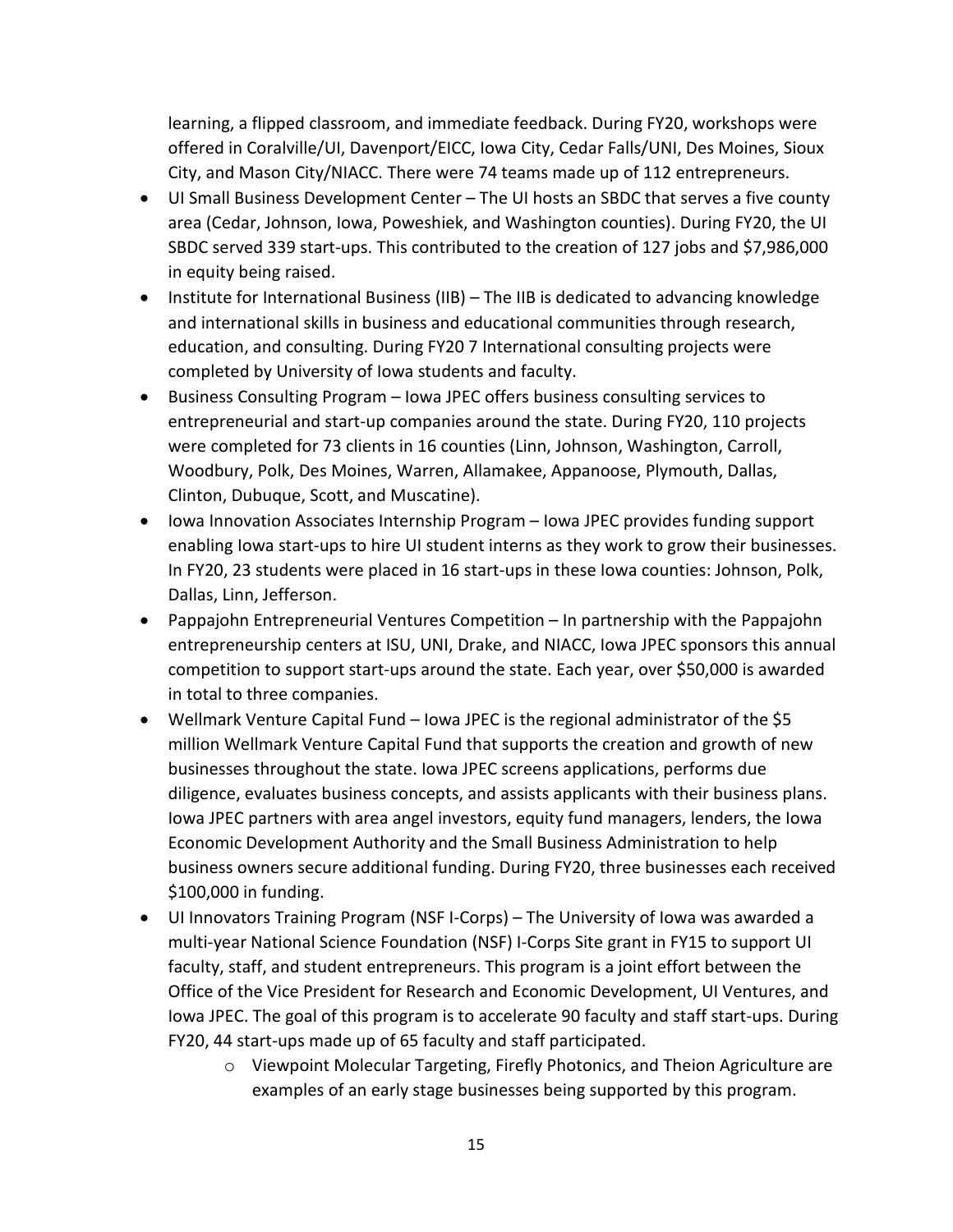learning, a flipped classroom, and immediate feedback. During FY20, workshops were offered in Coralville/UI, Davenport/EICC, Iowa City, Cedar Falls/UNI, Des Moines, Sioux City, and Mason City/NIACC. There were 74 teams made up of 112 entrepreneurs.

- UI Small Business Development Center The UI hosts an SBDC that serves a five county area (Cedar, Johnson, Iowa, Poweshiek, and Washington counties). During FY20, the UI SBDC served 339 start-ups. This contributed to the creation of 127 jobs and \$7,986,000 in equity being raised.
- Institute for International Business (IIB) The IIB is dedicated to advancing knowledge and international skills in business and educational communities through research, education, and consulting. During FY20 7 International consulting projects were completed by University of Iowa students and faculty.
- Business Consulting Program Iowa JPEC offers business consulting services to entrepreneurial and start-up companies around the state. During FY20, 110 projects were completed for 73 clients in 16 counties (Linn, Johnson, Washington, Carroll, Woodbury, Polk, Des Moines, Warren, Allamakee, Appanoose, Plymouth, Dallas, Clinton, Dubuque, Scott, and Muscatine).
- Iowa Innovation Associates Internship Program Iowa JPEC provides funding support enabling Iowa start-ups to hire UI student interns as they work to grow their businesses. In FY20, 23 students were placed in 16 start-ups in these Iowa counties: Johnson, Polk, Dallas, Linn, Jefferson.
- Pappajohn Entrepreneurial Ventures Competition In partnership with the Pappajohn entrepreneurship centers at ISU, UNI, Drake, and NIACC, Iowa JPEC sponsors this annual competition to support start-ups around the state. Each year, over \$50,000 is awarded in total to three companies.
- Wellmark Venture Capital Fund Iowa JPEC is the regional administrator of the \$5 million Wellmark Venture Capital Fund that supports the creation and growth of new businesses throughout the state. Iowa JPEC screens applications, performs due diligence, evaluates business concepts, and assists applicants with their business plans. Iowa JPEC partners with area angel investors, equity fund managers, lenders, the Iowa Economic Development Authority and the Small Business Administration to help business owners secure additional funding. During FY20, three businesses each received \$100,000 in funding.
- UI Innovators Training Program (NSF I-Corps) The University of Iowa was awarded a multi-year National Science Foundation (NSF) I-Corps Site grant in FY15 to support UI faculty, staff, and student entrepreneurs. This program is a joint effort between the Office of the Vice President for Research and Economic Development, UI Ventures, and Iowa JPEC. The goal of this program is to accelerate 90 faculty and staff start-ups. During FY20, 44 start-ups made up of 65 faculty and staff participated.
	- o Viewpoint Molecular Targeting, Firefly Photonics, and Theion Agriculture are examples of an early stage businesses being supported by this program.